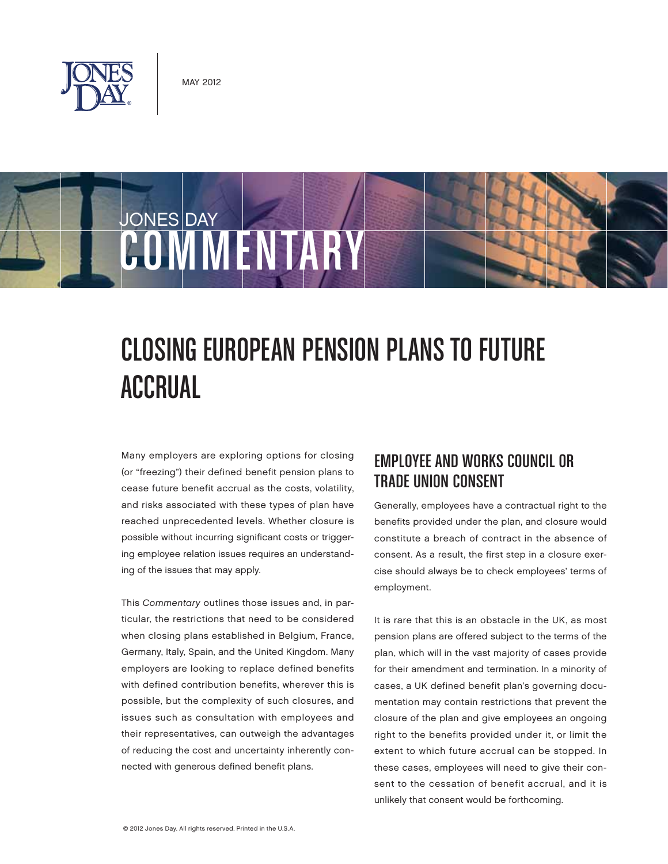



# CLOSING EUROPEAN PENSION PLANS TO FUTURE ACCRUAL

Many employers are exploring options for closing (or "freezing") their defined benefit pension plans to cease future benefit accrual as the costs, volatility, and risks associated with these types of plan have reached unprecedented levels. Whether closure is possible without incurring significant costs or triggering employee relation issues requires an understanding of the issues that may apply.

This Commentary outlines those issues and, in particular, the restrictions that need to be considered when closing plans established in Belgium, France, Germany, Italy, Spain, and the United Kingdom. Many employers are looking to replace defined benefits with defined contribution benefits, wherever this is possible, but the complexity of such closures, and issues such as consultation with employees and their representatives, can outweigh the advantages of reducing the cost and uncertainty inherently connected with generous defined benefit plans.

## EMPLOYEE AND WORKS COUNCIL OR TRADE UNION CONSENT

Generally, employees have a contractual right to the benefits provided under the plan, and closure would constitute a breach of contract in the absence of consent. As a result, the first step in a closure exercise should always be to check employees' terms of employment.

It is rare that this is an obstacle in the UK, as most pension plans are offered subject to the terms of the plan, which will in the vast majority of cases provide for their amendment and termination. In a minority of cases, a UK defined benefit plan's governing documentation may contain restrictions that prevent the closure of the plan and give employees an ongoing right to the benefits provided under it, or limit the extent to which future accrual can be stopped. In these cases, employees will need to give their consent to the cessation of benefit accrual, and it is unlikely that consent would be forthcoming.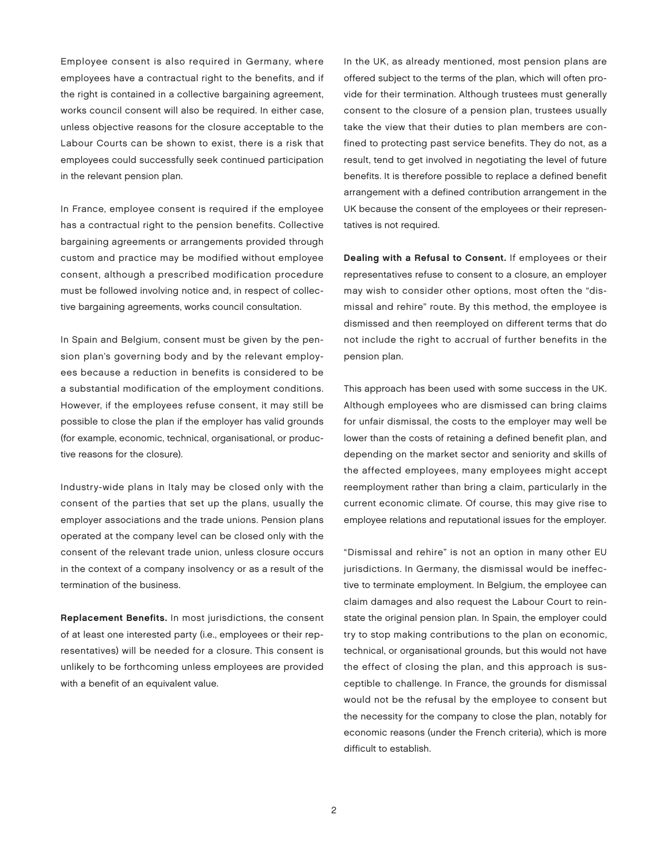Employee consent is also required in Germany, where employees have a contractual right to the benefits, and if the right is contained in a collective bargaining agreement, works council consent will also be required. In either case, unless objective reasons for the closure acceptable to the Labour Courts can be shown to exist, there is a risk that employees could successfully seek continued participation in the relevant pension plan.

In France, employee consent is required if the employee has a contractual right to the pension benefits. Collective bargaining agreements or arrangements provided through custom and practice may be modified without employee consent, although a prescribed modification procedure must be followed involving notice and, in respect of collective bargaining agreements, works council consultation.

In Spain and Belgium, consent must be given by the pension plan's governing body and by the relevant employees because a reduction in benefits is considered to be a substantial modification of the employment conditions. However, if the employees refuse consent, it may still be possible to close the plan if the employer has valid grounds (for example, economic, technical, organisational, or productive reasons for the closure).

Industry-wide plans in Italy may be closed only with the consent of the parties that set up the plans, usually the employer associations and the trade unions. Pension plans operated at the company level can be closed only with the consent of the relevant trade union, unless closure occurs in the context of a company insolvency or as a result of the termination of the business.

Replacement Benefits. In most jurisdictions, the consent of at least one interested party (i.e., employees or their representatives) will be needed for a closure. This consent is unlikely to be forthcoming unless employees are provided with a benefit of an equivalent value.

In the UK, as already mentioned, most pension plans are offered subject to the terms of the plan, which will often provide for their termination. Although trustees must generally consent to the closure of a pension plan, trustees usually take the view that their duties to plan members are confined to protecting past service benefits. They do not, as a result, tend to get involved in negotiating the level of future benefits. It is therefore possible to replace a defined benefit arrangement with a defined contribution arrangement in the UK because the consent of the employees or their representatives is not required.

Dealing with a Refusal to Consent. If employees or their representatives refuse to consent to a closure, an employer may wish to consider other options, most often the "dismissal and rehire" route. By this method, the employee is dismissed and then reemployed on different terms that do not include the right to accrual of further benefits in the pension plan.

This approach has been used with some success in the UK. Although employees who are dismissed can bring claims for unfair dismissal, the costs to the employer may well be lower than the costs of retaining a defined benefit plan, and depending on the market sector and seniority and skills of the affected employees, many employees might accept reemployment rather than bring a claim, particularly in the current economic climate. Of course, this may give rise to employee relations and reputational issues for the employer.

"Dismissal and rehire" is not an option in many other EU jurisdictions. In Germany, the dismissal would be ineffective to terminate employment. In Belgium, the employee can claim damages and also request the Labour Court to reinstate the original pension plan. In Spain, the employer could try to stop making contributions to the plan on economic, technical, or organisational grounds, but this would not have the effect of closing the plan, and this approach is susceptible to challenge. In France, the grounds for dismissal would not be the refusal by the employee to consent but the necessity for the company to close the plan, notably for economic reasons (under the French criteria), which is more difficult to establish.